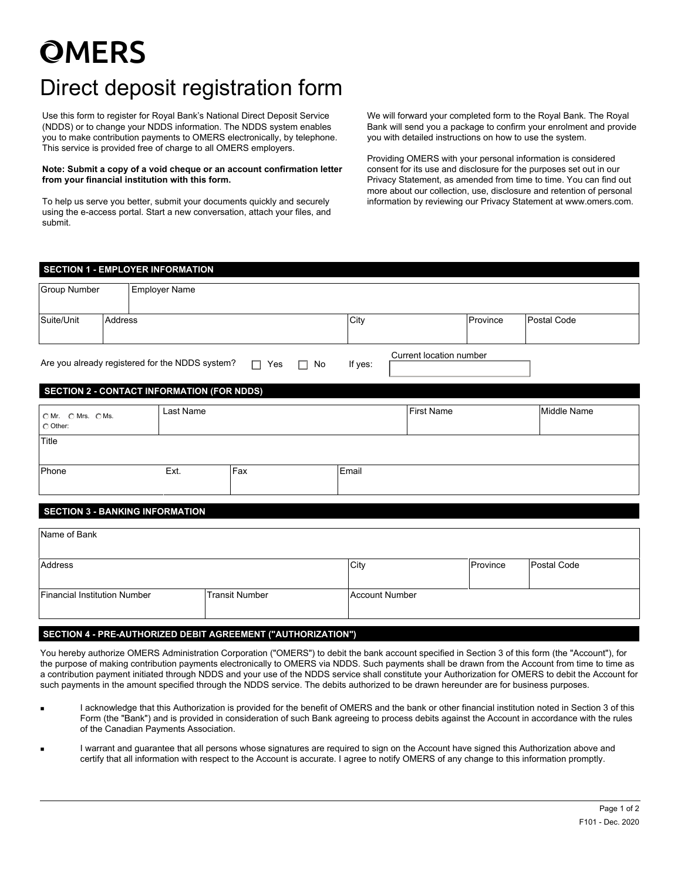# **OMERS**

# Direct deposit registration form

Use this form to register for Royal Bank's National Direct Deposit Service (NDDS) or to change your NDDS information. The NDDS system enables you to make contribution payments to OMERS electronically, by telephone. This service is provided free of charge to all OMERS employers.

#### **Note: Submit a copy of a void cheque or an account confirmation letter from your financial institution with this form.**

To help us serve you better, submit your documents quickly and securely using the e-access portal. Start a new conversation, attach your files, and submit.

We will forward your completed form to the Royal Bank. The Royal Bank will send you a package to confirm your enrolment and provide you with detailed instructions on how to use the system.

Providing OMERS with your personal information is considered consent for its use and disclosure for the purposes set out in our Privacy Statement, as amended from time to time. You can find out more about our collection, use, disclosure and retention of personal information by reviewing our Privacy Statement at www.omers.com.

| <b>SECTION 1 - EMPLOYER INFORMATION</b>                                                                                                                                  |                |                      |           |                       |                       |      |                                  |             |  |             |  |  |  |
|--------------------------------------------------------------------------------------------------------------------------------------------------------------------------|----------------|----------------------|-----------|-----------------------|-----------------------|------|----------------------------------|-------------|--|-------------|--|--|--|
| Group Number                                                                                                                                                             |                | <b>Employer Name</b> |           |                       |                       |      |                                  |             |  |             |  |  |  |
| Suite/Unit                                                                                                                                                               | <b>Address</b> |                      |           |                       | City                  |      | Province<br>$\blacktriangledown$ | Postal Code |  |             |  |  |  |
| Current location number<br>Are you already registered for the NDDS system?<br>$\Box$<br>Yes<br>If yes:<br>$\Box$ No<br><b>SECTION 2 - CONTACT INFORMATION (FOR NDDS)</b> |                |                      |           |                       |                       |      |                                  |             |  |             |  |  |  |
|                                                                                                                                                                          |                |                      |           |                       |                       |      |                                  |             |  |             |  |  |  |
| OMr. OMrs. OMs.<br>C Other:                                                                                                                                              |                |                      | Last Name |                       |                       |      | <b>First Name</b>                |             |  | Middle Name |  |  |  |
| Title                                                                                                                                                                    |                |                      |           |                       |                       |      |                                  |             |  |             |  |  |  |
| Phone                                                                                                                                                                    |                | Ext.                 |           | Fax                   |                       |      | Email                            |             |  |             |  |  |  |
| <b>SECTION 3 - BANKING INFORMATION</b>                                                                                                                                   |                |                      |           |                       |                       |      |                                  |             |  |             |  |  |  |
| Name of Bank                                                                                                                                                             |                |                      |           |                       |                       |      |                                  |             |  |             |  |  |  |
| Address                                                                                                                                                                  |                |                      |           |                       |                       | City | Province                         |             |  | Postal Code |  |  |  |
| Financial Institution Number                                                                                                                                             |                |                      |           | <b>Transit Number</b> | <b>Account Number</b> |      |                                  |             |  |             |  |  |  |

### **SECTION 4 - PRE-AUTHORIZED DEBIT AGREEMENT ("AUTHORIZATION")**

You hereby authorize OMERS Administration Corporation ("OMERS") to debit the bank account specified in Section 3 of this form (the "Account"), for the purpose of making contribution payments electronically to OMERS via NDDS. Such payments shall be drawn from the Account from time to time as a contribution payment initiated through NDDS and your use of the NDDS service shall constitute your Authorization for OMERS to debit the Account for such payments in the amount specified through the NDDS service. The debits authorized to be drawn hereunder are for business purposes.

- I acknowledge that this Authorization is provided for the benefit of OMERS and the bank or other financial institution noted in Section 3 of this Form (the "Bank") and is provided in consideration of such Bank agreeing to process debits against the Account in accordance with the rules of the Canadian Payments Association.
- I warrant and guarantee that all persons whose signatures are required to sign on the Account have signed this Authorization above and certify that all information with respect to the Account is accurate. I agree to notify OMERS of any change to this information promptly.